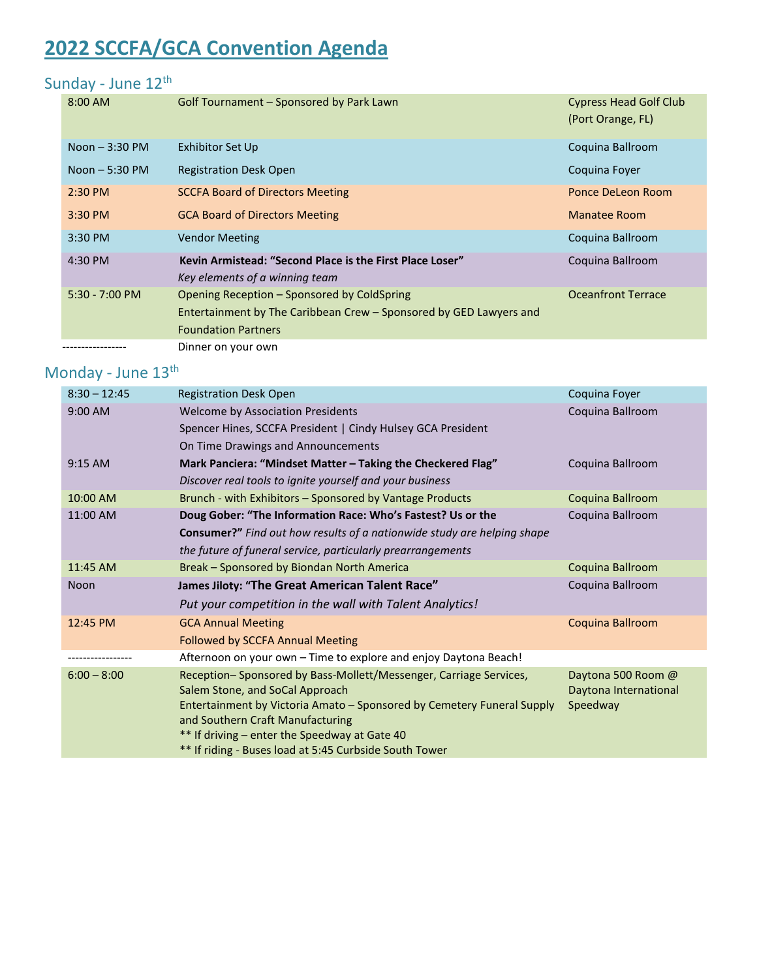# **2022 SCCFA/GCA Convention Agenda**

## Sunday - June 12<sup>th</sup>

| $8:00$ AM        | <b>Golf Tournament - Sponsored by Park Lawn</b>                    | <b>Cypress Head Golf Club</b> |
|------------------|--------------------------------------------------------------------|-------------------------------|
|                  |                                                                    | (Port Orange, FL)             |
| Noon $-3:30$ PM  | Exhibitor Set Up                                                   | Coquina Ballroom              |
| Noon $-5:30$ PM  | <b>Registration Desk Open</b>                                      | Coquina Foyer                 |
| $2:30$ PM        | <b>SCCFA Board of Directors Meeting</b>                            | Ponce DeLeon Room             |
| $3:30$ PM        | <b>GCA Board of Directors Meeting</b>                              | Manatee Room                  |
| $3:30$ PM        | <b>Vendor Meeting</b>                                              | Coguina Ballroom              |
| $4:30$ PM        | Kevin Armistead: "Second Place is the First Place Loser"           | Coguina Ballroom              |
|                  | Key elements of a winning team                                     |                               |
| $5:30 - 7:00$ PM | Opening Reception - Sponsored by ColdSpring                        | <b>Oceanfront Terrace</b>     |
|                  | Entertainment by The Caribbean Crew – Sponsored by GED Lawyers and |                               |
|                  | <b>Foundation Partners</b>                                         |                               |
|                  | Dinner on your own                                                 |                               |

## Monday - June 13<sup>th</sup>

| <b>Registration Desk Open</b><br>Coquina Foyer                               |                                                                                                                                                                                                                                                          |  |
|------------------------------------------------------------------------------|----------------------------------------------------------------------------------------------------------------------------------------------------------------------------------------------------------------------------------------------------------|--|
| <b>Welcome by Association Presidents</b>                                     | Coquina Ballroom                                                                                                                                                                                                                                         |  |
| Spencer Hines, SCCFA President   Cindy Hulsey GCA President                  |                                                                                                                                                                                                                                                          |  |
| On Time Drawings and Announcements                                           |                                                                                                                                                                                                                                                          |  |
| Mark Panciera: "Mindset Matter - Taking the Checkered Flag"                  | Coquina Ballroom                                                                                                                                                                                                                                         |  |
| Discover real tools to ignite yourself and your business                     |                                                                                                                                                                                                                                                          |  |
| Brunch - with Exhibitors - Sponsored by Vantage Products<br>Coquina Ballroom |                                                                                                                                                                                                                                                          |  |
| 11:00 AM<br>Doug Gober: "The Information Race: Who's Fastest? Us or the      |                                                                                                                                                                                                                                                          |  |
| Consumer?" Find out how results of a nationwide study are helping shape      |                                                                                                                                                                                                                                                          |  |
| the future of funeral service, particularly prearrangements                  |                                                                                                                                                                                                                                                          |  |
| Break - Sponsored by Biondan North America<br>Coquina Ballroom               |                                                                                                                                                                                                                                                          |  |
| James Jiloty: "The Great American Talent Race"                               | Coquina Ballroom                                                                                                                                                                                                                                         |  |
| Put your competition in the wall with Talent Analytics!                      |                                                                                                                                                                                                                                                          |  |
| <b>GCA Annual Meeting</b>                                                    | Coquina Ballroom                                                                                                                                                                                                                                         |  |
| <b>Followed by SCCFA Annual Meeting</b>                                      |                                                                                                                                                                                                                                                          |  |
| Afternoon on your own - Time to explore and enjoy Daytona Beach!             |                                                                                                                                                                                                                                                          |  |
| Reception-Sponsored by Bass-Mollett/Messenger, Carriage Services,            | Daytona 500 Room @                                                                                                                                                                                                                                       |  |
|                                                                              | Daytona International                                                                                                                                                                                                                                    |  |
|                                                                              | Speedway                                                                                                                                                                                                                                                 |  |
|                                                                              |                                                                                                                                                                                                                                                          |  |
|                                                                              |                                                                                                                                                                                                                                                          |  |
|                                                                              | Salem Stone, and SoCal Approach<br>Entertainment by Victoria Amato – Sponsored by Cemetery Funeral Supply<br>and Southern Craft Manufacturing<br>** If driving – enter the Speedway at Gate 40<br>** If riding - Buses load at 5:45 Curbside South Tower |  |